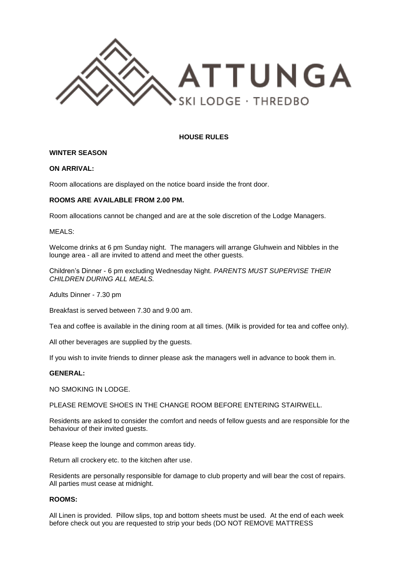

# **HOUSE RULES**

## **WINTER SEASON**

## **ON ARRIVAL:**

Room allocations are displayed on the notice board inside the front door.

## **ROOMS ARE AVAILABLE FROM 2.00 PM.**

Room allocations cannot be changed and are at the sole discretion of the Lodge Managers.

### MEALS:

Welcome drinks at 6 pm Sunday night. The managers will arrange Gluhwein and Nibbles in the lounge area - all are invited to attend and meet the other guests.

Children's Dinner - 6 pm excluding Wednesday Night. *PARENTS MUST SUPERVISE THEIR CHILDREN DURING ALL MEALS.*

Adults Dinner - 7.30 pm

Breakfast is served between 7.30 and 9.00 am.

Tea and coffee is available in the dining room at all times. (Milk is provided for tea and coffee only).

All other beverages are supplied by the guests.

If you wish to invite friends to dinner please ask the managers well in advance to book them in.

## **GENERAL:**

NO SMOKING IN LODGE.

PLEASE REMOVE SHOES IN THE CHANGE ROOM BEFORE ENTERING STAIRWELL.

Residents are asked to consider the comfort and needs of fellow guests and are responsible for the behaviour of their invited guests.

Please keep the lounge and common areas tidy.

Return all crockery etc. to the kitchen after use.

Residents are personally responsible for damage to club property and will bear the cost of repairs. All parties must cease at midnight.

# **ROOMS:**

All Linen is provided. Pillow slips, top and bottom sheets must be used. At the end of each week before check out you are requested to strip your beds (DO NOT REMOVE MATTRESS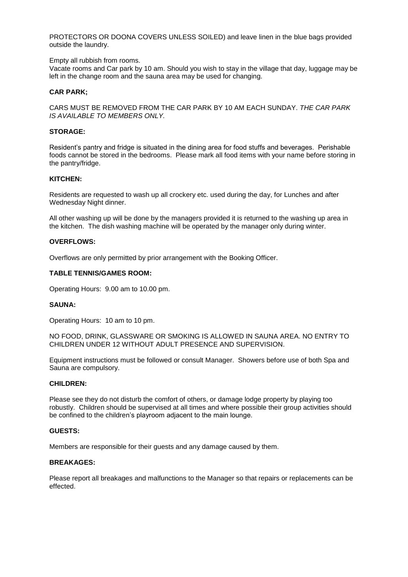PROTECTORS OR DOONA COVERS UNLESS SOILED) and leave linen in the blue bags provided outside the laundry.

### Empty all rubbish from rooms.

Vacate rooms and Car park by 10 am. Should you wish to stay in the village that day, luggage may be left in the change room and the sauna area may be used for changing.

## **CAR PARK;**

CARS MUST BE REMOVED FROM THE CAR PARK BY 10 AM EACH SUNDAY. *THE CAR PARK IS AVAILABLE TO MEMBERS ONLY.*

# **STORAGE:**

Resident's pantry and fridge is situated in the dining area for food stuffs and beverages. Perishable foods cannot be stored in the bedrooms. Please mark all food items with your name before storing in the pantry/fridge.

#### **KITCHEN:**

Residents are requested to wash up all crockery etc. used during the day, for Lunches and after Wednesday Night dinner.

All other washing up will be done by the managers provided it is returned to the washing up area in the kitchen. The dish washing machine will be operated by the manager only during winter.

### **OVERFLOWS:**

Overflows are only permitted by prior arrangement with the Booking Officer.

### **TABLE TENNIS/GAMES ROOM:**

Operating Hours: 9.00 am to 10.00 pm.

## **SAUNA:**

Operating Hours: 10 am to 10 pm.

NO FOOD, DRINK, GLASSWARE OR SMOKING IS ALLOWED IN SAUNA AREA. NO ENTRY TO CHILDREN UNDER 12 WITHOUT ADULT PRESENCE AND SUPERVISION.

Equipment instructions must be followed or consult Manager. Showers before use of both Spa and Sauna are compulsory.

#### **CHILDREN:**

Please see they do not disturb the comfort of others, or damage lodge property by playing too robustly. Children should be supervised at all times and where possible their group activities should be confined to the children's playroom adjacent to the main lounge.

#### **GUESTS:**

Members are responsible for their guests and any damage caused by them.

# **BREAKAGES:**

Please report all breakages and malfunctions to the Manager so that repairs or replacements can be effected.